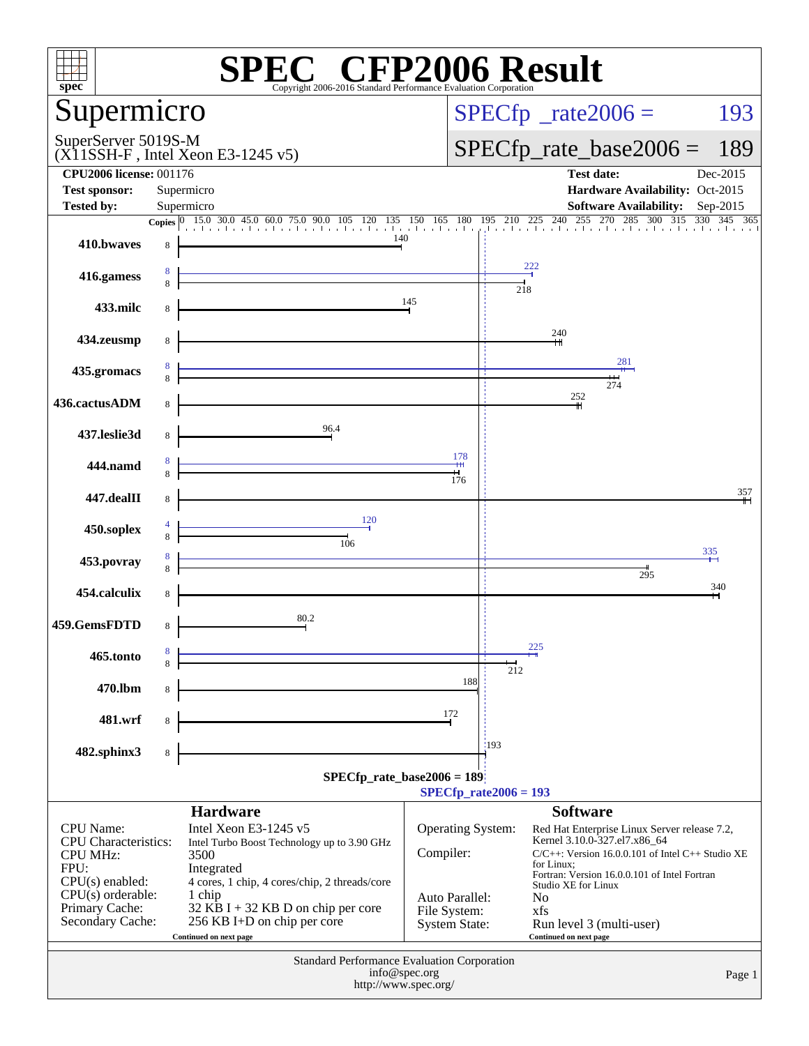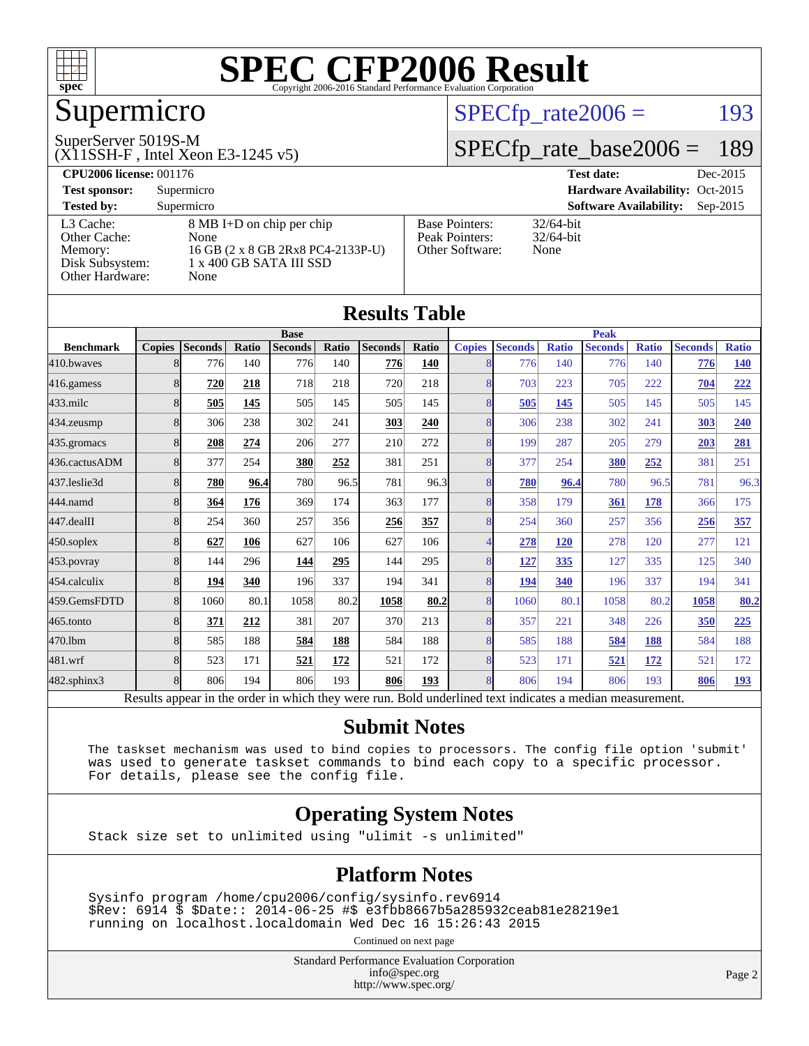

### Supermicro

#### SuperServer 5019S-M

(X11SSH-F , Intel Xeon E3-1245 v5)

#### $SPECTp_rate2006 = 193$

#### [SPECfp\\_rate\\_base2006 =](http://www.spec.org/auto/cpu2006/Docs/result-fields.html#SPECfpratebase2006) 189

| <b>CPU2006 license: 001176</b> |                                   |                                 | Dec-2015<br><b>Test date:</b>               |  |  |  |  |
|--------------------------------|-----------------------------------|---------------------------------|---------------------------------------------|--|--|--|--|
| <b>Test sponsor:</b>           | Supermicro                        | Hardware Availability: Oct-2015 |                                             |  |  |  |  |
| <b>Tested by:</b>              | Supermicro                        |                                 | <b>Software Availability:</b><br>$Sep-2015$ |  |  |  |  |
| L3 Cache:                      | 8 MB I+D on chip per chip         | <b>Base Pointers:</b>           | $32/64$ -bit                                |  |  |  |  |
| Other Cache:                   | None                              | Peak Pointers:                  | $32/64$ -bit                                |  |  |  |  |
| Memory:                        | 16 GB (2 x 8 GB 2Rx8 PC4-2133P-U) | Other Software:                 | None                                        |  |  |  |  |
| Disk Subsystem:                | 1 x 400 GB SATA III SSD           |                                 |                                             |  |  |  |  |
| Other Hardware:                | None                              |                                 |                                             |  |  |  |  |

**[Results Table](http://www.spec.org/auto/cpu2006/Docs/result-fields.html#ResultsTable)**

| Results Table     |               |                                                                                                          |       |                |       |                |              |                |                |              |                |              |                |              |
|-------------------|---------------|----------------------------------------------------------------------------------------------------------|-------|----------------|-------|----------------|--------------|----------------|----------------|--------------|----------------|--------------|----------------|--------------|
|                   | <b>Base</b>   |                                                                                                          |       |                |       | <b>Peak</b>    |              |                |                |              |                |              |                |              |
| <b>Benchmark</b>  | <b>Copies</b> | <b>Seconds</b>                                                                                           | Ratio | <b>Seconds</b> | Ratio | <b>Seconds</b> | <b>Ratio</b> | <b>Copies</b>  | <b>Seconds</b> | <b>Ratio</b> | <b>Seconds</b> | <b>Ratio</b> | <b>Seconds</b> | <b>Ratio</b> |
| 410.bwayes        | 8             | 776                                                                                                      | 140   | 776            | 140   | 776            | 140          | 8              | 776            | 140          | 776            | 140          | 776            | <b>140</b>   |
| 416.gamess        | 8             | 720                                                                                                      | 218   | 718            | 218   | 720            | 218          | 8              | 703            | 223          | 705            | 222          | 704            | 222          |
| $433$ .milc       | 8             | 505                                                                                                      | 145   | 505            | 145   | 505            | 145          | 8              | 505            | 145          | 505            | 145          | 505            | 145          |
| 434.zeusmp        | 8             | 306                                                                                                      | 238   | 302            | 241   | 303            | 240          | $\overline{8}$ | 306            | 238          | 302            | 241          | 303            | 240          |
| 435.gromacs       | 8             | 208                                                                                                      | 274   | 206            | 277   | 210            | 272          | 8              | 199            | 287          | 205            | 279          | 203            | 281          |
| 436.cactusADM     | 8             | 377                                                                                                      | 254   | 380            | 252   | 381            | 251          | 8              | 377            | 254          | 380            | 252          | 381            | 251          |
| 437.leslie3d      | 8             | 780                                                                                                      | 96.4  | 780            | 96.5  | 781            | 96.3         | 8              | 780            | 96.4         | 780            | 96.5         | 781            | 96.3         |
| 444.namd          | 8             | 364                                                                                                      | 176   | 369            | 174   | 363            | 177          | 8              | 358            | 179          | 361            | 178          | 366            | 175          |
| 447.dealII        | 8             | 254                                                                                                      | 360   | 257            | 356   | 256            | 357          | 8              | 254            | 360          | 257            | 356          | 256            | <u>357</u>   |
| 450.soplex        | 8             | 627                                                                                                      | 106   | 627            | 106   | 627            | 106          | 4              | 278            | <b>120</b>   | 278            | 120          | 277            | 121          |
| 453.povray        | 8             | 144                                                                                                      | 296   | 144            | 295   | 144            | 295          | 8              | 127            | 335          | 127            | 335          | 125            | 340          |
| 454.calculix      | 8             | 194                                                                                                      | 340   | 196            | 337   | 194            | 341          | 8              | 194            | 340          | 196            | 337          | 194            | 341          |
| 459.GemsFDTD      | 8             | 1060                                                                                                     | 80.1  | 1058           | 80.2  | 1058           | 80.2         | 8              | 1060           | 80.1         | 1058           | 80.2         | 1058           | 80.2         |
| 465.tonto         | 8             | 371                                                                                                      | 212   | 381            | 207   | 370            | 213          | 8              | 357            | 221          | 348            | 226          | 350            | 225          |
| 470.1bm           | 8             | 585                                                                                                      | 188   | 584            | 188   | 584            | 188          | 8              | 585            | 188          | 584            | 188          | 584            | 188          |
| 481.wrf           | 8             | 523                                                                                                      | 171   | 521            | 172   | 521            | 172          | 8              | 523            | 171          | 521            | <u>172</u>   | 521            | 172          |
| $482$ .sphinx $3$ | 8             | 806                                                                                                      | 194   | 806            | 193   | 806            | 193          | 8              | 806            | 194          | 806            | 193          | 806            | 193          |
|                   |               | Results appear in the order in which they were run. Bold underlined text indicates a median measurement. |       |                |       |                |              |                |                |              |                |              |                |              |

#### **[Submit Notes](http://www.spec.org/auto/cpu2006/Docs/result-fields.html#SubmitNotes)**

 The taskset mechanism was used to bind copies to processors. The config file option 'submit' was used to generate taskset commands to bind each copy to a specific processor. For details, please see the config file.

#### **[Operating System Notes](http://www.spec.org/auto/cpu2006/Docs/result-fields.html#OperatingSystemNotes)**

Stack size set to unlimited using "ulimit -s unlimited"

#### **[Platform Notes](http://www.spec.org/auto/cpu2006/Docs/result-fields.html#PlatformNotes)**

 Sysinfo program /home/cpu2006/config/sysinfo.rev6914 \$Rev: 6914 \$ \$Date:: 2014-06-25 #\$ e3fbb8667b5a285932ceab81e28219e1 running on localhost.localdomain Wed Dec 16 15:26:43 2015

Continued on next page

Standard Performance Evaluation Corporation [info@spec.org](mailto:info@spec.org) <http://www.spec.org/>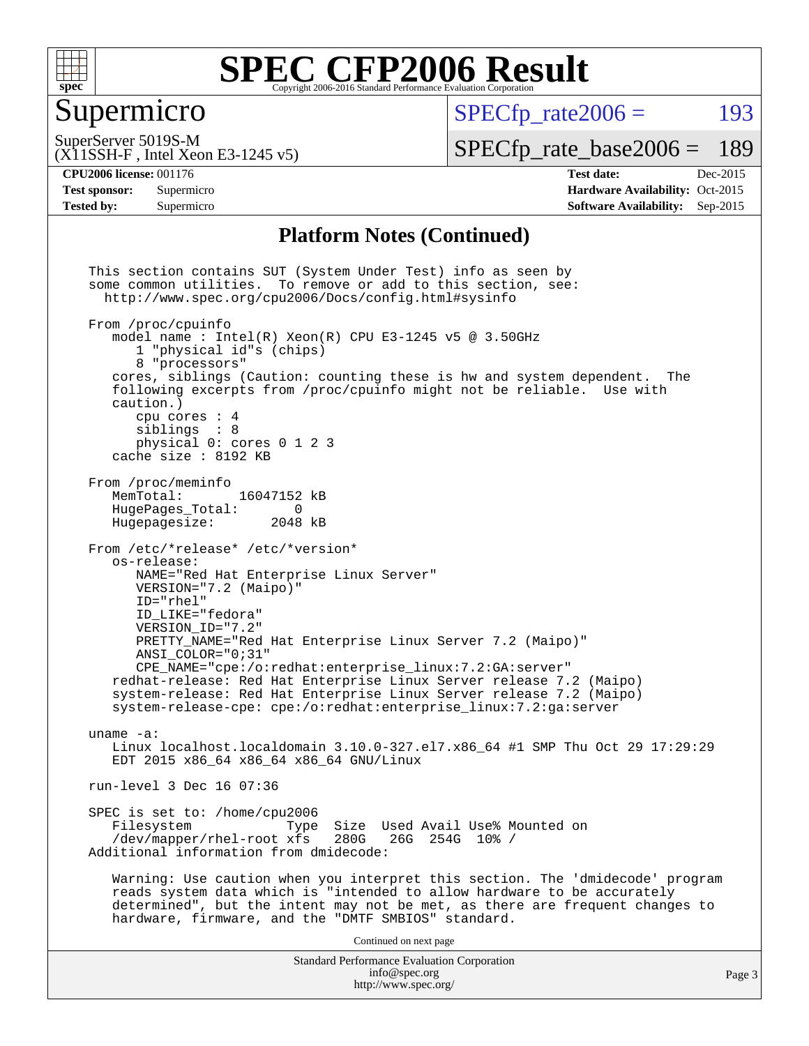

#### Supermicro

 $SPECTp\_rate2006 = 193$ 

(X11SSH-F , Intel Xeon E3-1245 v5) SuperServer 5019S-M

[SPECfp\\_rate\\_base2006 =](http://www.spec.org/auto/cpu2006/Docs/result-fields.html#SPECfpratebase2006) 189

**[Tested by:](http://www.spec.org/auto/cpu2006/Docs/result-fields.html#Testedby)** Supermicro **[Software Availability:](http://www.spec.org/auto/cpu2006/Docs/result-fields.html#SoftwareAvailability)** Sep-2015

**[CPU2006 license:](http://www.spec.org/auto/cpu2006/Docs/result-fields.html#CPU2006license)** 001176 **[Test date:](http://www.spec.org/auto/cpu2006/Docs/result-fields.html#Testdate)** Dec-2015 **[Test sponsor:](http://www.spec.org/auto/cpu2006/Docs/result-fields.html#Testsponsor)** Supermicro Supermicro **[Hardware Availability:](http://www.spec.org/auto/cpu2006/Docs/result-fields.html#HardwareAvailability)** Oct-2015

#### **[Platform Notes \(Continued\)](http://www.spec.org/auto/cpu2006/Docs/result-fields.html#PlatformNotes)**

Standard Performance Evaluation Corporation [info@spec.org](mailto:info@spec.org) <http://www.spec.org/> This section contains SUT (System Under Test) info as seen by some common utilities. To remove or add to this section, see: <http://www.spec.org/cpu2006/Docs/config.html#sysinfo> From /proc/cpuinfo model name : Intel $(R)$  Xeon $(R)$  CPU E3-1245 v5 @ 3.50GHz 1 "physical id"s (chips) 8 "processors" cores, siblings (Caution: counting these is hw and system dependent. The following excerpts from /proc/cpuinfo might not be reliable. Use with caution.) cpu cores : 4 siblings : 8 physical 0: cores 0 1 2 3 cache size : 8192 KB From /proc/meminfo MemTotal: 16047152 kB<br>HugePages Total: 0 HugePages\_Total: 0<br>Hugepagesize: 2048 kB Hugepagesize: From /etc/\*release\* /etc/\*version\* os-release: NAME="Red Hat Enterprise Linux Server" VERSION="7.2 (Maipo)" ID="rhel" ID\_LIKE="fedora" VERSION\_ID="7.2" PRETTY\_NAME="Red Hat Enterprise Linux Server 7.2 (Maipo)" ANSI\_COLOR="0;31" CPE\_NAME="cpe:/o:redhat:enterprise\_linux:7.2:GA:server" redhat-release: Red Hat Enterprise Linux Server release 7.2 (Maipo) system-release: Red Hat Enterprise Linux Server release 7.2 (Maipo) system-release-cpe: cpe:/o:redhat:enterprise\_linux:7.2:ga:server uname -a: Linux localhost.localdomain 3.10.0-327.el7.x86\_64 #1 SMP Thu Oct 29 17:29:29 EDT 2015 x86\_64 x86\_64 x86\_64 GNU/Linux run-level 3 Dec 16 07:36 SPEC is set to: /home/cpu2006<br>Filesystem Type Type Size Used Avail Use% Mounted on<br>xfs 280G 26G 254G 10% / /dev/mapper/rhel-root xfs 280G Additional information from dmidecode: Warning: Use caution when you interpret this section. The 'dmidecode' program reads system data which is "intended to allow hardware to be accurately determined", but the intent may not be met, as there are frequent changes to hardware, firmware, and the "DMTF SMBIOS" standard. Continued on next page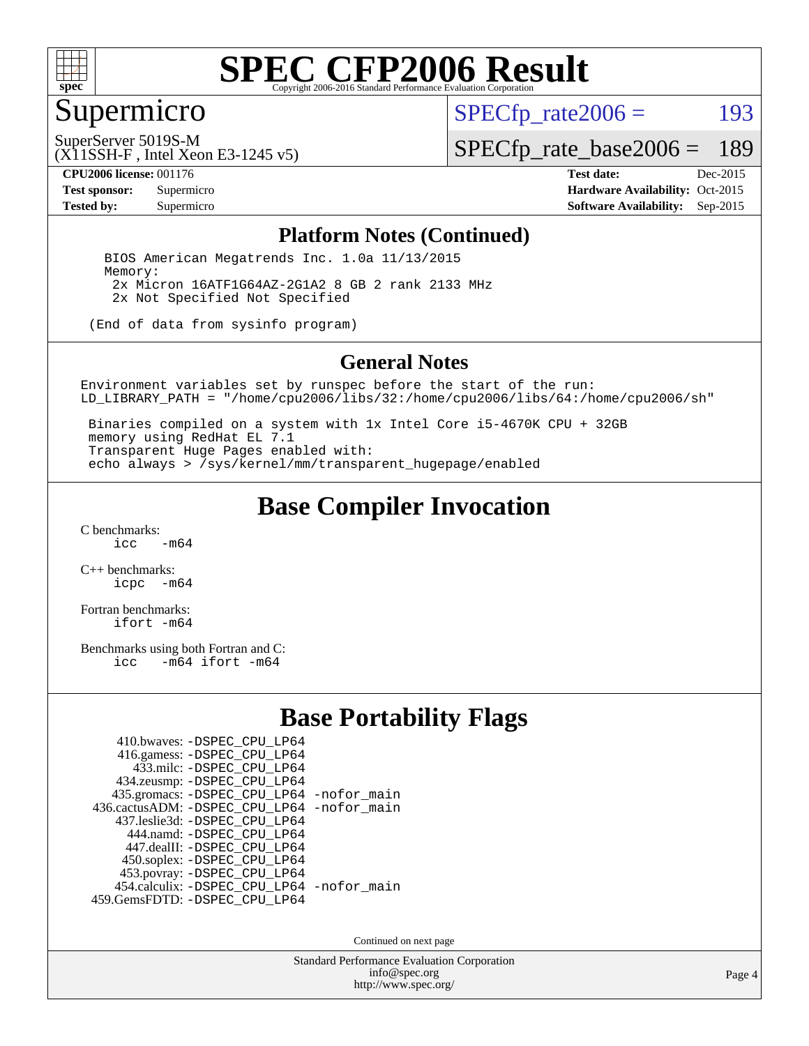

#### Supermicro

 $SPECTp_rate2006 = 193$ 

SuperServer 5019S-M

[SPECfp\\_rate\\_base2006 =](http://www.spec.org/auto/cpu2006/Docs/result-fields.html#SPECfpratebase2006) 189

(X11SSH-F , Intel Xeon E3-1245 v5)

**[CPU2006 license:](http://www.spec.org/auto/cpu2006/Docs/result-fields.html#CPU2006license)** 001176 **[Test date:](http://www.spec.org/auto/cpu2006/Docs/result-fields.html#Testdate)** Dec-2015 **[Test sponsor:](http://www.spec.org/auto/cpu2006/Docs/result-fields.html#Testsponsor)** Supermicro Supermicro **[Hardware Availability:](http://www.spec.org/auto/cpu2006/Docs/result-fields.html#HardwareAvailability)** Oct-2015 **[Tested by:](http://www.spec.org/auto/cpu2006/Docs/result-fields.html#Testedby)** Supermicro **Supermicro [Software Availability:](http://www.spec.org/auto/cpu2006/Docs/result-fields.html#SoftwareAvailability)** Sep-2015

#### **[Platform Notes \(Continued\)](http://www.spec.org/auto/cpu2006/Docs/result-fields.html#PlatformNotes)**

 BIOS American Megatrends Inc. 1.0a 11/13/2015 Memory: 2x Micron 16ATF1G64AZ-2G1A2 8 GB 2 rank 2133 MHz 2x Not Specified Not Specified

(End of data from sysinfo program)

#### **[General Notes](http://www.spec.org/auto/cpu2006/Docs/result-fields.html#GeneralNotes)**

Environment variables set by runspec before the start of the run: LD\_LIBRARY\_PATH = "/home/cpu2006/libs/32:/home/cpu2006/libs/64:/home/cpu2006/sh"

 Binaries compiled on a system with 1x Intel Core i5-4670K CPU + 32GB memory using RedHat EL 7.1 Transparent Huge Pages enabled with: echo always > /sys/kernel/mm/transparent\_hugepage/enabled

#### **[Base Compiler Invocation](http://www.spec.org/auto/cpu2006/Docs/result-fields.html#BaseCompilerInvocation)**

 $C$  benchmarks:<br>icc  $-m64$ 

[C++ benchmarks:](http://www.spec.org/auto/cpu2006/Docs/result-fields.html#CXXbenchmarks) [icpc -m64](http://www.spec.org/cpu2006/results/res2016q1/cpu2006-20151217-38459.flags.html#user_CXXbase_intel_icpc_64bit_bedb90c1146cab66620883ef4f41a67e)

[Fortran benchmarks](http://www.spec.org/auto/cpu2006/Docs/result-fields.html#Fortranbenchmarks): [ifort -m64](http://www.spec.org/cpu2006/results/res2016q1/cpu2006-20151217-38459.flags.html#user_FCbase_intel_ifort_64bit_ee9d0fb25645d0210d97eb0527dcc06e)

[Benchmarks using both Fortran and C](http://www.spec.org/auto/cpu2006/Docs/result-fields.html#BenchmarksusingbothFortranandC): [icc -m64](http://www.spec.org/cpu2006/results/res2016q1/cpu2006-20151217-38459.flags.html#user_CC_FCbase_intel_icc_64bit_0b7121f5ab7cfabee23d88897260401c) [ifort -m64](http://www.spec.org/cpu2006/results/res2016q1/cpu2006-20151217-38459.flags.html#user_CC_FCbase_intel_ifort_64bit_ee9d0fb25645d0210d97eb0527dcc06e)

#### **[Base Portability Flags](http://www.spec.org/auto/cpu2006/Docs/result-fields.html#BasePortabilityFlags)**

| 410.bwaves: -DSPEC CPU LP64                |  |
|--------------------------------------------|--|
| 416.gamess: - DSPEC_CPU_LP64               |  |
| 433.milc: -DSPEC CPU LP64                  |  |
| 434.zeusmp: -DSPEC_CPU_LP64                |  |
| 435.gromacs: -DSPEC_CPU_LP64 -nofor_main   |  |
| 436.cactusADM: -DSPEC CPU LP64 -nofor main |  |
| 437.leslie3d: -DSPEC CPU LP64              |  |
| 444.namd: - DSPEC CPU LP64                 |  |
| 447.dealII: -DSPEC_CPU_LP64                |  |
| 450.soplex: -DSPEC_CPU_LP64                |  |
| 453.povray: -DSPEC_CPU_LP64                |  |
| 454.calculix: -DSPEC_CPU_LP64 -nofor_main  |  |
| 459.GemsFDTD: - DSPEC_CPU_LP64             |  |
|                                            |  |

Continued on next page

Standard Performance Evaluation Corporation [info@spec.org](mailto:info@spec.org) <http://www.spec.org/>

Page 4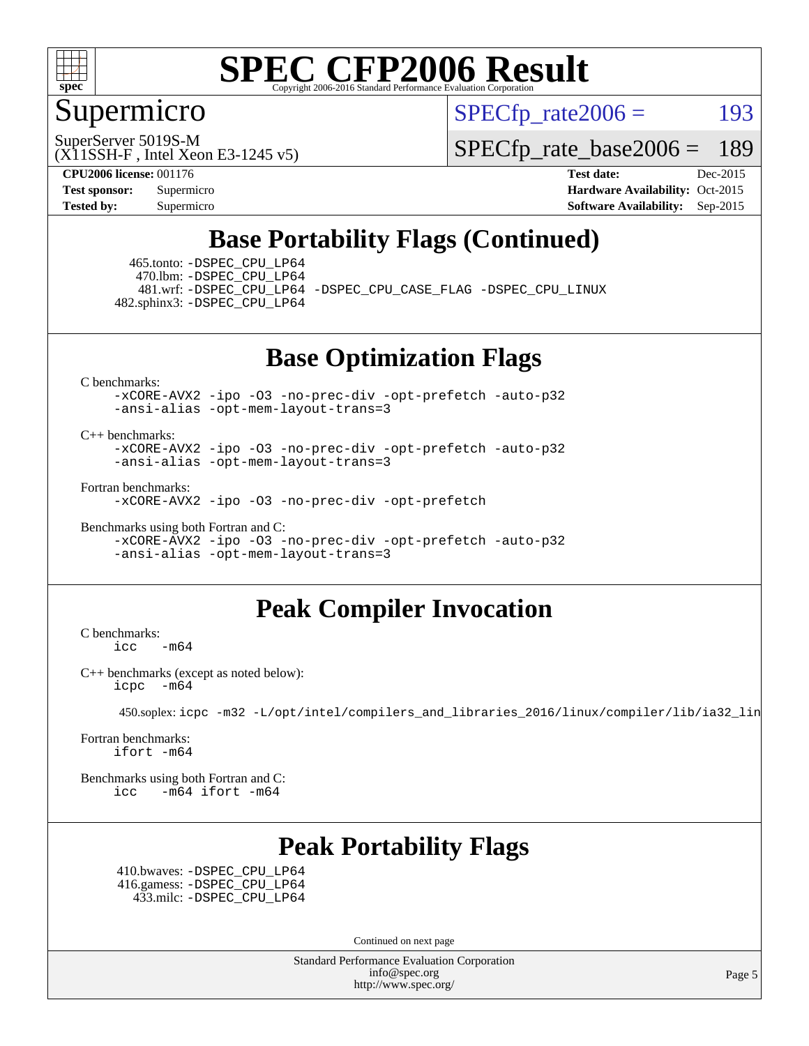

#### Supermicro

 $SPECTp\_rate2006 = 193$ 

(X11SSH-F , Intel Xeon E3-1245 v5) SuperServer 5019S-M

[SPECfp\\_rate\\_base2006 =](http://www.spec.org/auto/cpu2006/Docs/result-fields.html#SPECfpratebase2006) 189

**[CPU2006 license:](http://www.spec.org/auto/cpu2006/Docs/result-fields.html#CPU2006license)** 001176 **[Test date:](http://www.spec.org/auto/cpu2006/Docs/result-fields.html#Testdate)** Dec-2015 **[Test sponsor:](http://www.spec.org/auto/cpu2006/Docs/result-fields.html#Testsponsor)** Supermicro Supermicro **[Hardware Availability:](http://www.spec.org/auto/cpu2006/Docs/result-fields.html#HardwareAvailability)** Oct-2015 **[Tested by:](http://www.spec.org/auto/cpu2006/Docs/result-fields.html#Testedby)** Supermicro **Supermicro [Software Availability:](http://www.spec.org/auto/cpu2006/Docs/result-fields.html#SoftwareAvailability)** Sep-2015

#### **[Base Portability Flags \(Continued\)](http://www.spec.org/auto/cpu2006/Docs/result-fields.html#BasePortabilityFlags)**

 465.tonto: [-DSPEC\\_CPU\\_LP64](http://www.spec.org/cpu2006/results/res2016q1/cpu2006-20151217-38459.flags.html#suite_basePORTABILITY465_tonto_DSPEC_CPU_LP64) 470.lbm: [-DSPEC\\_CPU\\_LP64](http://www.spec.org/cpu2006/results/res2016q1/cpu2006-20151217-38459.flags.html#suite_basePORTABILITY470_lbm_DSPEC_CPU_LP64) 482.sphinx3: [-DSPEC\\_CPU\\_LP64](http://www.spec.org/cpu2006/results/res2016q1/cpu2006-20151217-38459.flags.html#suite_basePORTABILITY482_sphinx3_DSPEC_CPU_LP64)

481.wrf: [-DSPEC\\_CPU\\_LP64](http://www.spec.org/cpu2006/results/res2016q1/cpu2006-20151217-38459.flags.html#suite_basePORTABILITY481_wrf_DSPEC_CPU_LP64) [-DSPEC\\_CPU\\_CASE\\_FLAG](http://www.spec.org/cpu2006/results/res2016q1/cpu2006-20151217-38459.flags.html#b481.wrf_baseCPORTABILITY_DSPEC_CPU_CASE_FLAG) [-DSPEC\\_CPU\\_LINUX](http://www.spec.org/cpu2006/results/res2016q1/cpu2006-20151217-38459.flags.html#b481.wrf_baseCPORTABILITY_DSPEC_CPU_LINUX)

**[Base Optimization Flags](http://www.spec.org/auto/cpu2006/Docs/result-fields.html#BaseOptimizationFlags)**

[C benchmarks](http://www.spec.org/auto/cpu2006/Docs/result-fields.html#Cbenchmarks):

[-xCORE-AVX2](http://www.spec.org/cpu2006/results/res2016q1/cpu2006-20151217-38459.flags.html#user_CCbase_f-xAVX2_5f5fc0cbe2c9f62c816d3e45806c70d7) [-ipo](http://www.spec.org/cpu2006/results/res2016q1/cpu2006-20151217-38459.flags.html#user_CCbase_f-ipo) [-O3](http://www.spec.org/cpu2006/results/res2016q1/cpu2006-20151217-38459.flags.html#user_CCbase_f-O3) [-no-prec-div](http://www.spec.org/cpu2006/results/res2016q1/cpu2006-20151217-38459.flags.html#user_CCbase_f-no-prec-div) [-opt-prefetch](http://www.spec.org/cpu2006/results/res2016q1/cpu2006-20151217-38459.flags.html#user_CCbase_f-opt-prefetch) [-auto-p32](http://www.spec.org/cpu2006/results/res2016q1/cpu2006-20151217-38459.flags.html#user_CCbase_f-auto-p32) [-ansi-alias](http://www.spec.org/cpu2006/results/res2016q1/cpu2006-20151217-38459.flags.html#user_CCbase_f-ansi-alias) [-opt-mem-layout-trans=3](http://www.spec.org/cpu2006/results/res2016q1/cpu2006-20151217-38459.flags.html#user_CCbase_f-opt-mem-layout-trans_a7b82ad4bd7abf52556d4961a2ae94d5)

#### [C++ benchmarks:](http://www.spec.org/auto/cpu2006/Docs/result-fields.html#CXXbenchmarks)

[-xCORE-AVX2](http://www.spec.org/cpu2006/results/res2016q1/cpu2006-20151217-38459.flags.html#user_CXXbase_f-xAVX2_5f5fc0cbe2c9f62c816d3e45806c70d7) [-ipo](http://www.spec.org/cpu2006/results/res2016q1/cpu2006-20151217-38459.flags.html#user_CXXbase_f-ipo) [-O3](http://www.spec.org/cpu2006/results/res2016q1/cpu2006-20151217-38459.flags.html#user_CXXbase_f-O3) [-no-prec-div](http://www.spec.org/cpu2006/results/res2016q1/cpu2006-20151217-38459.flags.html#user_CXXbase_f-no-prec-div) [-opt-prefetch](http://www.spec.org/cpu2006/results/res2016q1/cpu2006-20151217-38459.flags.html#user_CXXbase_f-opt-prefetch) [-auto-p32](http://www.spec.org/cpu2006/results/res2016q1/cpu2006-20151217-38459.flags.html#user_CXXbase_f-auto-p32) [-ansi-alias](http://www.spec.org/cpu2006/results/res2016q1/cpu2006-20151217-38459.flags.html#user_CXXbase_f-ansi-alias) [-opt-mem-layout-trans=3](http://www.spec.org/cpu2006/results/res2016q1/cpu2006-20151217-38459.flags.html#user_CXXbase_f-opt-mem-layout-trans_a7b82ad4bd7abf52556d4961a2ae94d5)

[Fortran benchmarks](http://www.spec.org/auto/cpu2006/Docs/result-fields.html#Fortranbenchmarks):

[-xCORE-AVX2](http://www.spec.org/cpu2006/results/res2016q1/cpu2006-20151217-38459.flags.html#user_FCbase_f-xAVX2_5f5fc0cbe2c9f62c816d3e45806c70d7) [-ipo](http://www.spec.org/cpu2006/results/res2016q1/cpu2006-20151217-38459.flags.html#user_FCbase_f-ipo) [-O3](http://www.spec.org/cpu2006/results/res2016q1/cpu2006-20151217-38459.flags.html#user_FCbase_f-O3) [-no-prec-div](http://www.spec.org/cpu2006/results/res2016q1/cpu2006-20151217-38459.flags.html#user_FCbase_f-no-prec-div) [-opt-prefetch](http://www.spec.org/cpu2006/results/res2016q1/cpu2006-20151217-38459.flags.html#user_FCbase_f-opt-prefetch)

[Benchmarks using both Fortran and C](http://www.spec.org/auto/cpu2006/Docs/result-fields.html#BenchmarksusingbothFortranandC):

[-xCORE-AVX2](http://www.spec.org/cpu2006/results/res2016q1/cpu2006-20151217-38459.flags.html#user_CC_FCbase_f-xAVX2_5f5fc0cbe2c9f62c816d3e45806c70d7) [-ipo](http://www.spec.org/cpu2006/results/res2016q1/cpu2006-20151217-38459.flags.html#user_CC_FCbase_f-ipo) [-O3](http://www.spec.org/cpu2006/results/res2016q1/cpu2006-20151217-38459.flags.html#user_CC_FCbase_f-O3) [-no-prec-div](http://www.spec.org/cpu2006/results/res2016q1/cpu2006-20151217-38459.flags.html#user_CC_FCbase_f-no-prec-div) [-opt-prefetch](http://www.spec.org/cpu2006/results/res2016q1/cpu2006-20151217-38459.flags.html#user_CC_FCbase_f-opt-prefetch) [-auto-p32](http://www.spec.org/cpu2006/results/res2016q1/cpu2006-20151217-38459.flags.html#user_CC_FCbase_f-auto-p32) [-ansi-alias](http://www.spec.org/cpu2006/results/res2016q1/cpu2006-20151217-38459.flags.html#user_CC_FCbase_f-ansi-alias) [-opt-mem-layout-trans=3](http://www.spec.org/cpu2006/results/res2016q1/cpu2006-20151217-38459.flags.html#user_CC_FCbase_f-opt-mem-layout-trans_a7b82ad4bd7abf52556d4961a2ae94d5)

#### **[Peak Compiler Invocation](http://www.spec.org/auto/cpu2006/Docs/result-fields.html#PeakCompilerInvocation)**

[C benchmarks](http://www.spec.org/auto/cpu2006/Docs/result-fields.html#Cbenchmarks): [icc -m64](http://www.spec.org/cpu2006/results/res2016q1/cpu2006-20151217-38459.flags.html#user_CCpeak_intel_icc_64bit_0b7121f5ab7cfabee23d88897260401c)

[C++ benchmarks \(except as noted below\):](http://www.spec.org/auto/cpu2006/Docs/result-fields.html#CXXbenchmarksexceptasnotedbelow) [icpc -m64](http://www.spec.org/cpu2006/results/res2016q1/cpu2006-20151217-38459.flags.html#user_CXXpeak_intel_icpc_64bit_bedb90c1146cab66620883ef4f41a67e)

450.soplex: [icpc -m32 -L/opt/intel/compilers\\_and\\_libraries\\_2016/linux/compiler/lib/ia32\\_lin](http://www.spec.org/cpu2006/results/res2016q1/cpu2006-20151217-38459.flags.html#user_peakCXXLD450_soplex_intel_icpc_b4f50a394bdb4597aa5879c16bc3f5c5)

[Fortran benchmarks](http://www.spec.org/auto/cpu2006/Docs/result-fields.html#Fortranbenchmarks): [ifort -m64](http://www.spec.org/cpu2006/results/res2016q1/cpu2006-20151217-38459.flags.html#user_FCpeak_intel_ifort_64bit_ee9d0fb25645d0210d97eb0527dcc06e)

[Benchmarks using both Fortran and C](http://www.spec.org/auto/cpu2006/Docs/result-fields.html#BenchmarksusingbothFortranandC): [icc -m64](http://www.spec.org/cpu2006/results/res2016q1/cpu2006-20151217-38459.flags.html#user_CC_FCpeak_intel_icc_64bit_0b7121f5ab7cfabee23d88897260401c) [ifort -m64](http://www.spec.org/cpu2006/results/res2016q1/cpu2006-20151217-38459.flags.html#user_CC_FCpeak_intel_ifort_64bit_ee9d0fb25645d0210d97eb0527dcc06e)

### **[Peak Portability Flags](http://www.spec.org/auto/cpu2006/Docs/result-fields.html#PeakPortabilityFlags)**

 410.bwaves: [-DSPEC\\_CPU\\_LP64](http://www.spec.org/cpu2006/results/res2016q1/cpu2006-20151217-38459.flags.html#suite_peakPORTABILITY410_bwaves_DSPEC_CPU_LP64) 416.gamess: [-DSPEC\\_CPU\\_LP64](http://www.spec.org/cpu2006/results/res2016q1/cpu2006-20151217-38459.flags.html#suite_peakPORTABILITY416_gamess_DSPEC_CPU_LP64) 433.milc: [-DSPEC\\_CPU\\_LP64](http://www.spec.org/cpu2006/results/res2016q1/cpu2006-20151217-38459.flags.html#suite_peakPORTABILITY433_milc_DSPEC_CPU_LP64)

Continued on next page

Standard Performance Evaluation Corporation [info@spec.org](mailto:info@spec.org) <http://www.spec.org/>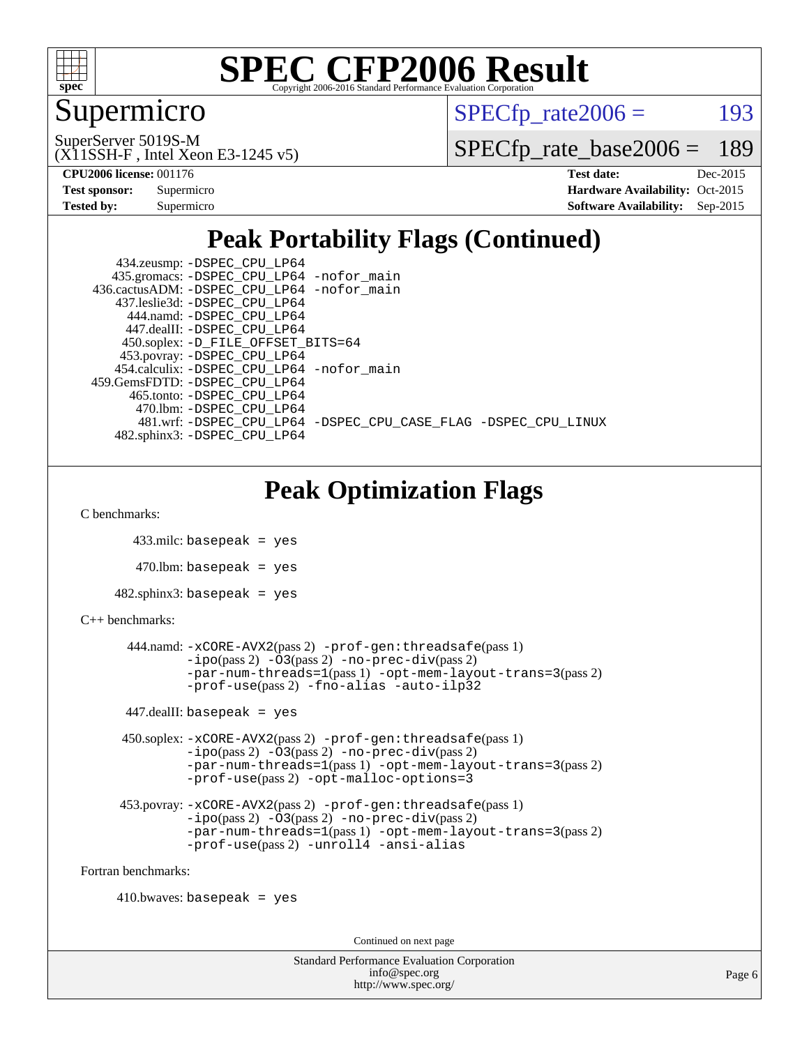

#### Supermicro

 $SPECTp\_rate2006 = 193$ 

(X11SSH-F , Intel Xeon E3-1245 v5) SuperServer 5019S-M

[SPECfp\\_rate\\_base2006 =](http://www.spec.org/auto/cpu2006/Docs/result-fields.html#SPECfpratebase2006) 189

**[CPU2006 license:](http://www.spec.org/auto/cpu2006/Docs/result-fields.html#CPU2006license)** 001176 **[Test date:](http://www.spec.org/auto/cpu2006/Docs/result-fields.html#Testdate)** Dec-2015

| <b>Test sponsor:</b> | Supermicro |
|----------------------|------------|
| <b>Tested by:</b>    | Supermicro |

**[Hardware Availability:](http://www.spec.org/auto/cpu2006/Docs/result-fields.html#HardwareAvailability)** Oct-2015 **[Software Availability:](http://www.spec.org/auto/cpu2006/Docs/result-fields.html#SoftwareAvailability)** Sep-2015

### **[Peak Portability Flags \(Continued\)](http://www.spec.org/auto/cpu2006/Docs/result-fields.html#PeakPortabilityFlags)**

 434.zeusmp: [-DSPEC\\_CPU\\_LP64](http://www.spec.org/cpu2006/results/res2016q1/cpu2006-20151217-38459.flags.html#suite_peakPORTABILITY434_zeusmp_DSPEC_CPU_LP64) 435.gromacs: [-DSPEC\\_CPU\\_LP64](http://www.spec.org/cpu2006/results/res2016q1/cpu2006-20151217-38459.flags.html#suite_peakPORTABILITY435_gromacs_DSPEC_CPU_LP64) [-nofor\\_main](http://www.spec.org/cpu2006/results/res2016q1/cpu2006-20151217-38459.flags.html#user_peakLDPORTABILITY435_gromacs_f-nofor_main) 436.cactusADM: [-DSPEC\\_CPU\\_LP64](http://www.spec.org/cpu2006/results/res2016q1/cpu2006-20151217-38459.flags.html#suite_peakPORTABILITY436_cactusADM_DSPEC_CPU_LP64) [-nofor\\_main](http://www.spec.org/cpu2006/results/res2016q1/cpu2006-20151217-38459.flags.html#user_peakLDPORTABILITY436_cactusADM_f-nofor_main) 437.leslie3d: [-DSPEC\\_CPU\\_LP64](http://www.spec.org/cpu2006/results/res2016q1/cpu2006-20151217-38459.flags.html#suite_peakPORTABILITY437_leslie3d_DSPEC_CPU_LP64) 444.namd: [-DSPEC\\_CPU\\_LP64](http://www.spec.org/cpu2006/results/res2016q1/cpu2006-20151217-38459.flags.html#suite_peakPORTABILITY444_namd_DSPEC_CPU_LP64) 447.dealII: [-DSPEC\\_CPU\\_LP64](http://www.spec.org/cpu2006/results/res2016q1/cpu2006-20151217-38459.flags.html#suite_peakPORTABILITY447_dealII_DSPEC_CPU_LP64) 450.soplex: [-D\\_FILE\\_OFFSET\\_BITS=64](http://www.spec.org/cpu2006/results/res2016q1/cpu2006-20151217-38459.flags.html#user_peakPORTABILITY450_soplex_file_offset_bits_64_438cf9856305ebd76870a2c6dc2689ab) 453.povray: [-DSPEC\\_CPU\\_LP64](http://www.spec.org/cpu2006/results/res2016q1/cpu2006-20151217-38459.flags.html#suite_peakPORTABILITY453_povray_DSPEC_CPU_LP64) 454.calculix: [-DSPEC\\_CPU\\_LP64](http://www.spec.org/cpu2006/results/res2016q1/cpu2006-20151217-38459.flags.html#suite_peakPORTABILITY454_calculix_DSPEC_CPU_LP64) [-nofor\\_main](http://www.spec.org/cpu2006/results/res2016q1/cpu2006-20151217-38459.flags.html#user_peakLDPORTABILITY454_calculix_f-nofor_main) 459.GemsFDTD: [-DSPEC\\_CPU\\_LP64](http://www.spec.org/cpu2006/results/res2016q1/cpu2006-20151217-38459.flags.html#suite_peakPORTABILITY459_GemsFDTD_DSPEC_CPU_LP64) 465.tonto: [-DSPEC\\_CPU\\_LP64](http://www.spec.org/cpu2006/results/res2016q1/cpu2006-20151217-38459.flags.html#suite_peakPORTABILITY465_tonto_DSPEC_CPU_LP64) 470.lbm: [-DSPEC\\_CPU\\_LP64](http://www.spec.org/cpu2006/results/res2016q1/cpu2006-20151217-38459.flags.html#suite_peakPORTABILITY470_lbm_DSPEC_CPU_LP64) 481.wrf: [-DSPEC\\_CPU\\_LP64](http://www.spec.org/cpu2006/results/res2016q1/cpu2006-20151217-38459.flags.html#suite_peakPORTABILITY481_wrf_DSPEC_CPU_LP64) [-DSPEC\\_CPU\\_CASE\\_FLAG](http://www.spec.org/cpu2006/results/res2016q1/cpu2006-20151217-38459.flags.html#b481.wrf_peakCPORTABILITY_DSPEC_CPU_CASE_FLAG) [-DSPEC\\_CPU\\_LINUX](http://www.spec.org/cpu2006/results/res2016q1/cpu2006-20151217-38459.flags.html#b481.wrf_peakCPORTABILITY_DSPEC_CPU_LINUX) 482.sphinx3: [-DSPEC\\_CPU\\_LP64](http://www.spec.org/cpu2006/results/res2016q1/cpu2006-20151217-38459.flags.html#suite_peakPORTABILITY482_sphinx3_DSPEC_CPU_LP64)

### **[Peak Optimization Flags](http://www.spec.org/auto/cpu2006/Docs/result-fields.html#PeakOptimizationFlags)**

[C benchmarks](http://www.spec.org/auto/cpu2006/Docs/result-fields.html#Cbenchmarks):

433.milc: basepeak = yes

 $470$ .lbm: basepeak = yes

482.sphinx3: basepeak = yes

#### [C++ benchmarks:](http://www.spec.org/auto/cpu2006/Docs/result-fields.html#CXXbenchmarks)

```
 444.namd: -xCORE-AVX2(pass 2) -prof-gen:threadsafe(pass 1)
-i\text{po}(pass 2) -\overset{\cdot}{\text{O}}3(pass 2)-no-prec-div(pass 2)
-par-num-threads=1(pass 1) -opt-mem-layout-trans=3(pass 2)
-prof-use(pass 2) -fno-alias -auto-ilp32
```
 $447$ .dealII: basepeak = yes

 450.soplex: [-xCORE-AVX2](http://www.spec.org/cpu2006/results/res2016q1/cpu2006-20151217-38459.flags.html#user_peakPASS2_CXXFLAGSPASS2_LDFLAGS450_soplex_f-xAVX2_5f5fc0cbe2c9f62c816d3e45806c70d7)(pass 2) [-prof-gen:threadsafe](http://www.spec.org/cpu2006/results/res2016q1/cpu2006-20151217-38459.flags.html#user_peakPASS1_CXXFLAGSPASS1_LDFLAGS450_soplex_prof_gen_21a26eb79f378b550acd7bec9fe4467a)(pass 1) [-ipo](http://www.spec.org/cpu2006/results/res2016q1/cpu2006-20151217-38459.flags.html#user_peakPASS2_CXXFLAGSPASS2_LDFLAGS450_soplex_f-ipo)(pass 2) [-O3](http://www.spec.org/cpu2006/results/res2016q1/cpu2006-20151217-38459.flags.html#user_peakPASS2_CXXFLAGSPASS2_LDFLAGS450_soplex_f-O3)(pass 2) [-no-prec-div](http://www.spec.org/cpu2006/results/res2016q1/cpu2006-20151217-38459.flags.html#user_peakPASS2_CXXFLAGSPASS2_LDFLAGS450_soplex_f-no-prec-div)(pass 2) [-par-num-threads=1](http://www.spec.org/cpu2006/results/res2016q1/cpu2006-20151217-38459.flags.html#user_peakPASS1_CXXFLAGSPASS1_LDFLAGS450_soplex_par_num_threads_786a6ff141b4e9e90432e998842df6c2)(pass 1) [-opt-mem-layout-trans=3](http://www.spec.org/cpu2006/results/res2016q1/cpu2006-20151217-38459.flags.html#user_peakPASS2_CXXFLAGS450_soplex_f-opt-mem-layout-trans_a7b82ad4bd7abf52556d4961a2ae94d5)(pass 2) [-prof-use](http://www.spec.org/cpu2006/results/res2016q1/cpu2006-20151217-38459.flags.html#user_peakPASS2_CXXFLAGSPASS2_LDFLAGS450_soplex_prof_use_bccf7792157ff70d64e32fe3e1250b55)(pass 2) [-opt-malloc-options=3](http://www.spec.org/cpu2006/results/res2016q1/cpu2006-20151217-38459.flags.html#user_peakOPTIMIZE450_soplex_f-opt-malloc-options_13ab9b803cf986b4ee62f0a5998c2238)

```
 453.povray: -xCORE-AVX2(pass 2) -prof-gen:threadsafe(pass 1)
-O3(pass 2)-no-prec-div(pass 2)
-par-num-threads=1(pass 1) -opt-mem-layout-trans=3(pass 2)
-prof-use(pass 2) -unroll4 -ansi-alias
```
[Fortran benchmarks](http://www.spec.org/auto/cpu2006/Docs/result-fields.html#Fortranbenchmarks):

 $410.bwaves: basepeak = yes$ 

Continued on next page

Standard Performance Evaluation Corporation [info@spec.org](mailto:info@spec.org) <http://www.spec.org/>